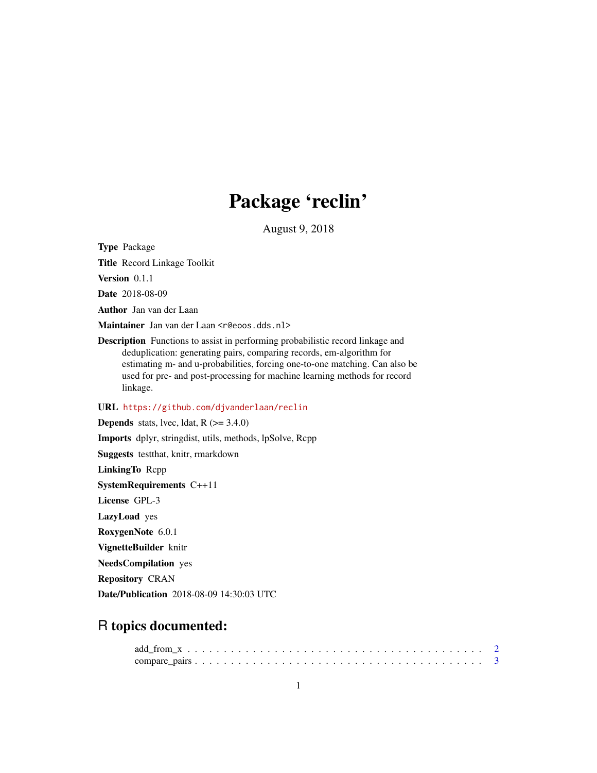## Package 'reclin'

August 9, 2018

<span id="page-0-0"></span>Type Package

Title Record Linkage Toolkit

Version 0.1.1

Date 2018-08-09

Author Jan van der Laan

Maintainer Jan van der Laan <r@eoos.dds.nl>

Description Functions to assist in performing probabilistic record linkage and deduplication: generating pairs, comparing records, em-algorithm for estimating m- and u-probabilities, forcing one-to-one matching. Can also be used for pre- and post-processing for machine learning methods for record linkage.

#### URL <https://github.com/djvanderlaan/reclin>

**Depends** stats, lvec, ldat,  $R$  ( $>= 3.4.0$ ) Imports dplyr, stringdist, utils, methods, lpSolve, Rcpp Suggests testthat, knitr, rmarkdown LinkingTo Rcpp SystemRequirements C++11 License GPL-3 LazyLoad yes RoxygenNote 6.0.1 VignetteBuilder knitr NeedsCompilation yes Repository CRAN Date/Publication 2018-08-09 14:30:03 UTC

### R topics documented: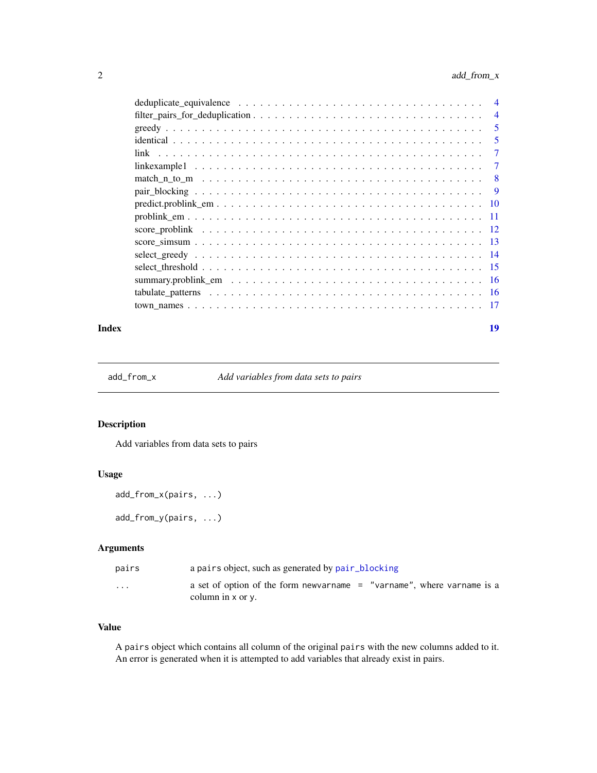<span id="page-1-0"></span>

|  | $\overline{4}$ |
|--|----------------|
|  | $\overline{4}$ |
|  | 5              |
|  | 5              |
|  | 7              |
|  | 7              |
|  | 8              |
|  | 9              |
|  |                |
|  |                |
|  |                |
|  |                |
|  |                |
|  |                |
|  |                |
|  |                |
|  |                |
|  |                |

#### **Index** 2008 **[19](#page-18-0)99**

add\_from\_x *Add variables from data sets to pairs*

#### Description

Add variables from data sets to pairs

#### Usage

```
add_from_x(pairs, ...)
add_from_y(pairs, ...)
```
#### Arguments

| pairs                   | a pairs object, such as generated by pair_blocking                                                 |
|-------------------------|----------------------------------------------------------------------------------------------------|
| $\cdot$ $\cdot$ $\cdot$ | a set of option of the form new arrame $=$ "varname", where varname is a<br>column in $x$ or $y$ . |

#### Value

A pairs object which contains all column of the original pairs with the new columns added to it. An error is generated when it is attempted to add variables that already exist in pairs.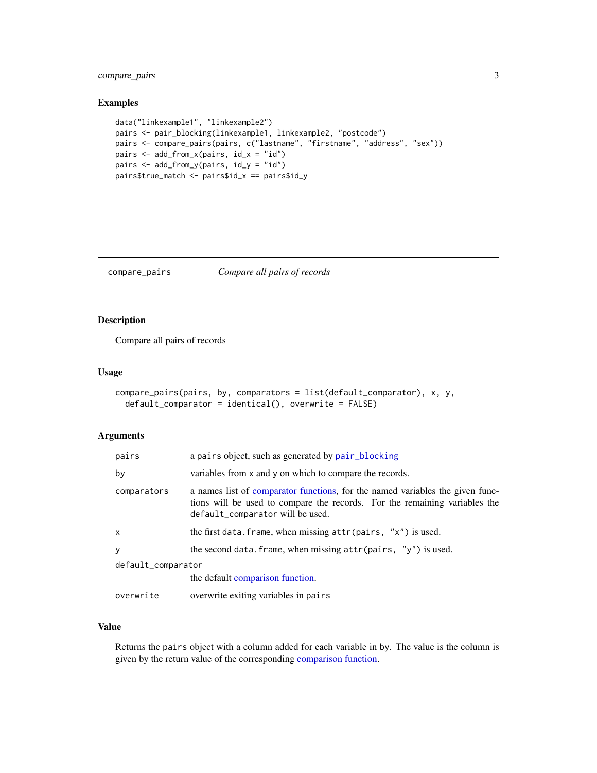#### <span id="page-2-0"></span>compare\_pairs 3

#### Examples

```
data("linkexample1", "linkexample2")
pairs <- pair_blocking(linkexample1, linkexample2, "postcode")
pairs <- compare_pairs(pairs, c("lastname", "firstname", "address", "sex"))
pairs <- add_from_x(pairs, id_x = "id")
pairs <- add_from_y(pairs, id_y = "id")
pairs$true_match <- pairs$id_x == pairs$id_y
```
<span id="page-2-1"></span>compare\_pairs *Compare all pairs of records*

#### Description

Compare all pairs of records

#### Usage

```
compare_pairs(pairs, by, comparators = list(default_comparator), x, y,
  default_comparator = identical(), overwrite = FALSE)
```
#### Arguments

| pairs              | a pairs object, such as generated by pair_blocking                                                                                                                                              |  |  |  |  |  |
|--------------------|-------------------------------------------------------------------------------------------------------------------------------------------------------------------------------------------------|--|--|--|--|--|
| by                 | variables from x and y on which to compare the records.                                                                                                                                         |  |  |  |  |  |
| comparators        | a names list of comparator functions, for the named variables the given func-<br>tions will be used to compare the records. For the remaining variables the<br>default_comparator will be used. |  |  |  |  |  |
| X                  | the first data. frame, when missing $attr(pairs, "x")$ is used.                                                                                                                                 |  |  |  |  |  |
| У                  | the second data. frame, when missing $attr(pairs, "y")$ is used.                                                                                                                                |  |  |  |  |  |
| default_comparator |                                                                                                                                                                                                 |  |  |  |  |  |
|                    | the default comparison function.                                                                                                                                                                |  |  |  |  |  |
| overwrite          | overwrite exiting variables in pairs                                                                                                                                                            |  |  |  |  |  |

#### Value

Returns the pairs object with a column added for each variable in by. The value is the column is given by the return value of the corresponding [comparison function.](#page-4-1)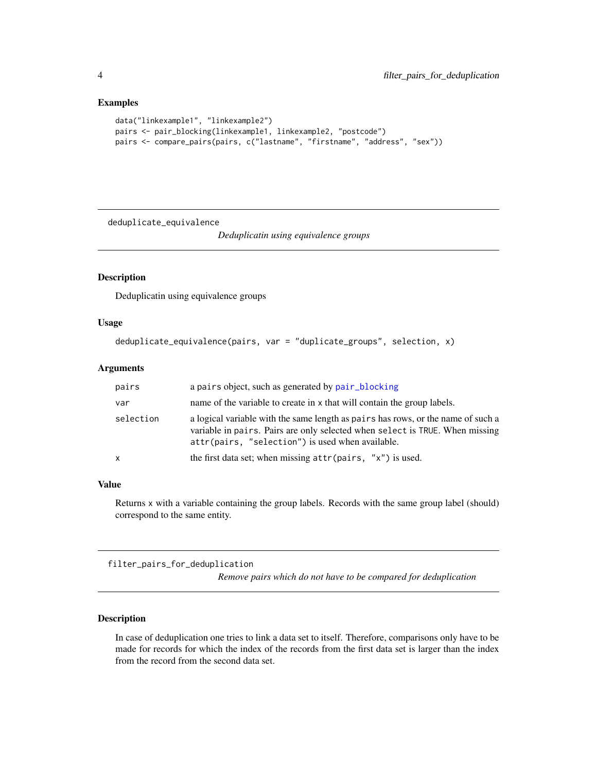#### Examples

```
data("linkexample1", "linkexample2")
pairs <- pair_blocking(linkexample1, linkexample2, "postcode")
pairs <- compare_pairs(pairs, c("lastname", "firstname", "address", "sex"))
```
deduplicate\_equivalence

*Deduplicatin using equivalence groups*

#### Description

Deduplicatin using equivalence groups

#### Usage

```
deduplicate_equivalence(pairs, var = "duplicate_groups", selection, x)
```
#### Arguments

| pairs     | a pairs object, such as generated by pair_blocking                                                                                                                                                                   |
|-----------|----------------------------------------------------------------------------------------------------------------------------------------------------------------------------------------------------------------------|
| var       | name of the variable to create in x that will contain the group labels.                                                                                                                                              |
| selection | a logical variable with the same length as pairs has rows, or the name of such a<br>variable in pairs. Pairs are only selected when select is TRUE. When missing<br>attr(pairs, "selection") is used when available. |
| x         | the first data set; when missing $attr(pairs, "x")$ is used.                                                                                                                                                         |

#### Value

Returns x with a variable containing the group labels. Records with the same group label (should) correspond to the same entity.

filter\_pairs\_for\_deduplication

*Remove pairs which do not have to be compared for deduplication*

#### Description

In case of deduplication one tries to link a data set to itself. Therefore, comparisons only have to be made for records for which the index of the records from the first data set is larger than the index from the record from the second data set.

<span id="page-3-0"></span>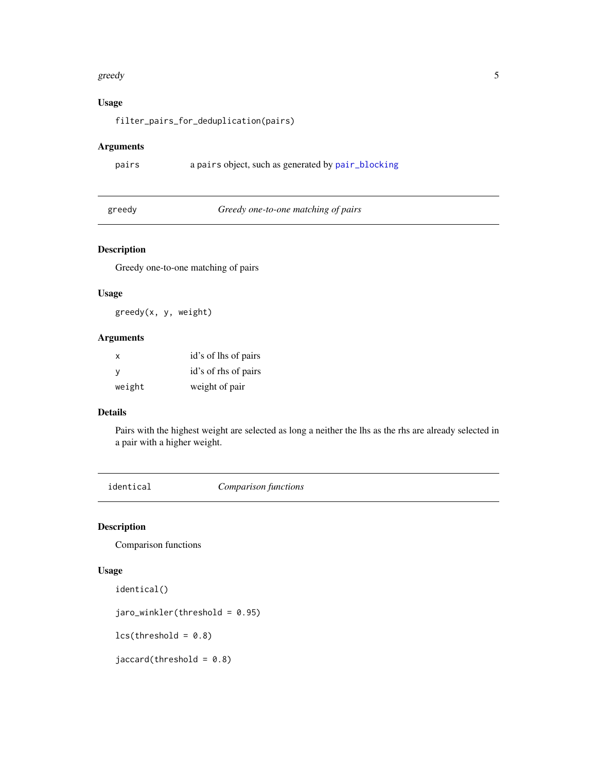#### <span id="page-4-0"></span>greedy 5

#### Usage

filter\_pairs\_for\_deduplication(pairs)

#### Arguments

```
pairs a pairs object, such as generated by pair_blocking
```
greedy *Greedy one-to-one matching of pairs*

#### Description

Greedy one-to-one matching of pairs

#### Usage

greedy(x, y, weight)

#### Arguments

| X            | id's of lhs of pairs |
|--------------|----------------------|
| <sub>V</sub> | id's of rhs of pairs |
| weight       | weight of pair       |

#### Details

Pairs with the highest weight are selected as long a neither the lhs as the rhs are already selected in a pair with a higher weight.

<span id="page-4-1"></span>

identical *Comparison functions*

#### Description

Comparison functions

#### Usage

```
identical()
```
jaro\_winkler(threshold = 0.95)

 $lcs(threshold = 0.8)$ 

 $jaccard(threshold = 0.8)$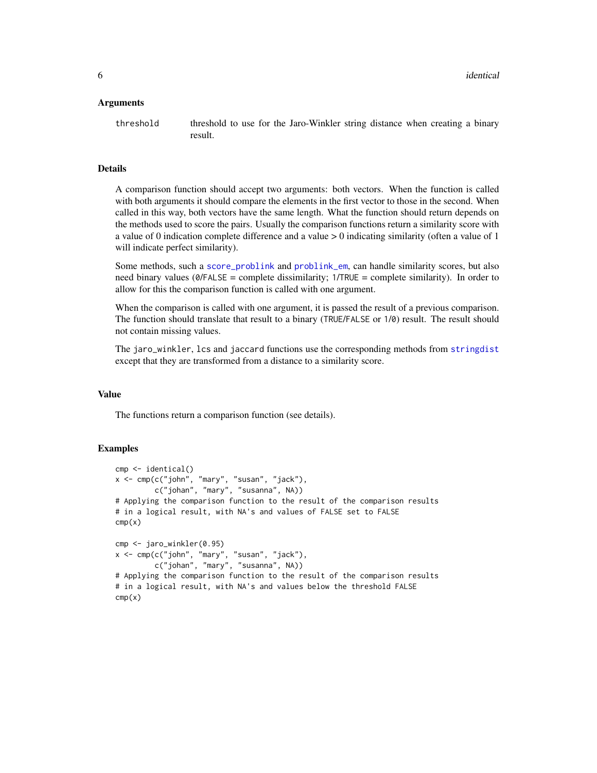#### <span id="page-5-0"></span>Arguments

threshold threshold to use for the Jaro-Winkler string distance when creating a binary result.

#### Details

A comparison function should accept two arguments: both vectors. When the function is called with both arguments it should compare the elements in the first vector to those in the second. When called in this way, both vectors have the same length. What the function should return depends on the methods used to score the pairs. Usually the comparison functions return a similarity score with a value of 0 indication complete difference and a value > 0 indicating similarity (often a value of 1 will indicate perfect similarity).

Some methods, such a [score\\_problink](#page-11-1) and [problink\\_em](#page-10-1), can handle similarity scores, but also need binary values (0/FALSE = complete dissimilarity; 1/TRUE = complete similarity). In order to allow for this the comparison function is called with one argument.

When the comparison is called with one argument, it is passed the result of a previous comparison. The function should translate that result to a binary (TRUE/FALSE or 1/0) result. The result should not contain missing values.

The jaro\_winkler, lcs and jaccard functions use the corresponding methods from [stringdist](#page-0-0) except that they are transformed from a distance to a similarity score.

#### Value

The functions return a comparison function (see details).

```
cmp <- identical()
x \leq -\text{cmp}(c("john", "mary", "susan", "jack"),c("johan", "mary", "susanna", NA))
# Applying the comparison function to the result of the comparison results
# in a logical result, with NA's and values of FALSE set to FALSE
cmp(x)cmp <- jaro_winkler(0.95)
x \leq -\text{cmp}(c("john", "mary", "susan", "jack"),c("johan", "mary", "susanna", NA))
# Applying the comparison function to the result of the comparison results
# in a logical result, with NA's and values below the threshold FALSE
cmp(x)
```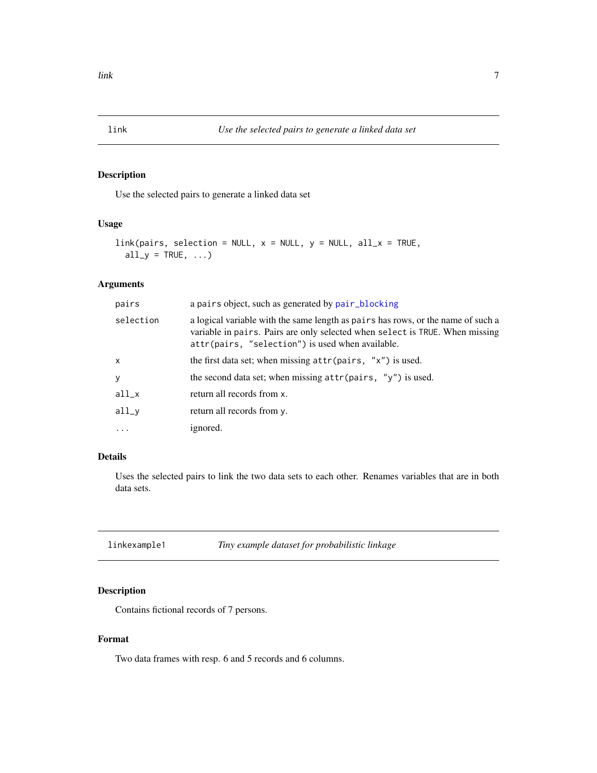<span id="page-6-0"></span>

Use the selected pairs to generate a linked data set

#### Usage

```
link(pairs, selection = NULL, x = NULL, y = NULL, all_x = TRUE,
  all_y = TRUE, ...
```
#### Arguments

| pairs        | a pairs object, such as generated by pair_blocking                                                                                                                                                                   |
|--------------|----------------------------------------------------------------------------------------------------------------------------------------------------------------------------------------------------------------------|
| selection    | a logical variable with the same length as pairs has rows, or the name of such a<br>variable in pairs. Pairs are only selected when select is TRUE. When missing<br>attr(pairs, "selection") is used when available. |
| $\mathsf{x}$ | the first data set; when missing $attr(pairs, "x")$ is used.                                                                                                                                                         |
| y            | the second data set; when missing $attr(pairs, "y")$ is used.                                                                                                                                                        |
| $all_x$      | return all records from x.                                                                                                                                                                                           |
| $all_v$      | return all records from y.                                                                                                                                                                                           |
| $\ddots$     | ignored.                                                                                                                                                                                                             |

#### Details

Uses the selected pairs to link the two data sets to each other. Renames variables that are in both data sets.

linkexample1 *Tiny example dataset for probabilistic linkage*

#### Description

Contains fictional records of 7 persons.

#### Format

Two data frames with resp. 6 and 5 records and 6 columns.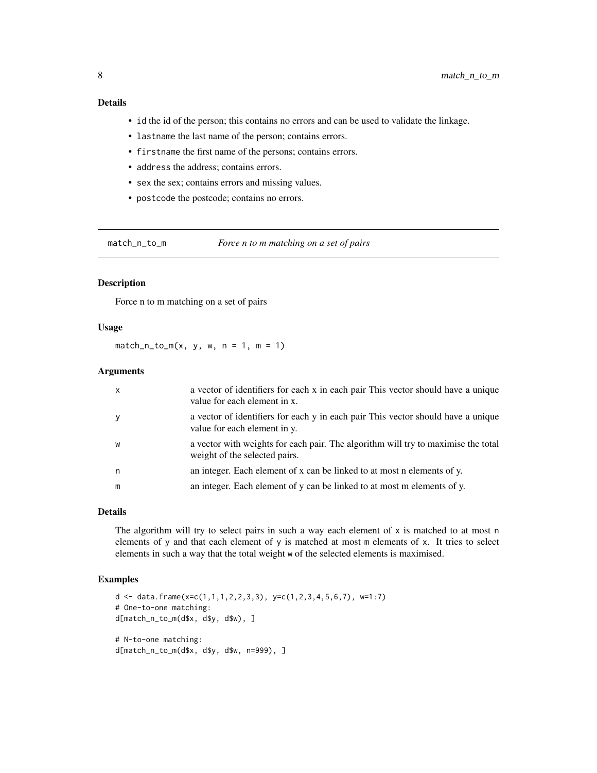#### <span id="page-7-0"></span>Details

- id the id of the person; this contains no errors and can be used to validate the linkage.
- lastname the last name of the person; contains errors.
- firstname the first name of the persons; contains errors.
- address the address; contains errors.
- sex the sex; contains errors and missing values.
- postcode the postcode; contains no errors.

match\_n\_to\_m *Force n to m matching on a set of pairs*

#### Description

Force n to m matching on a set of pairs

#### Usage

 $match_n_to_m(x, y, w, n = 1, m = 1)$ 

#### Arguments

| $\mathsf{x}$ | a vector of identifiers for each x in each pair This vector should have a unique<br>value for each element in x.   |
|--------------|--------------------------------------------------------------------------------------------------------------------|
| y            | a vector of identifiers for each y in each pair This vector should have a unique<br>value for each element in y.   |
| W            | a vector with weights for each pair. The algorithm will try to maximise the total<br>weight of the selected pairs. |
| n            | an integer. Each element of x can be linked to at most n elements of y.                                            |
| m            | an integer. Each element of y can be linked to at most m elements of y.                                            |

#### Details

The algorithm will try to select pairs in such a way each element of  $x$  is matched to at most n elements of y and that each element of y is matched at most m elements of x. It tries to select elements in such a way that the total weight w of the selected elements is maximised.

```
d <- data.frame(x=c(1,1,1,2,2,3,3), y=c(1,2,3,4,5,6,7), w=1:7)
# One-to-one matching:
d[match_n_to_m(d$x, d$y, d$w), ]
# N-to-one matching:
d[match_n_to_m(d$x, d$y, d$w, n=999), ]
```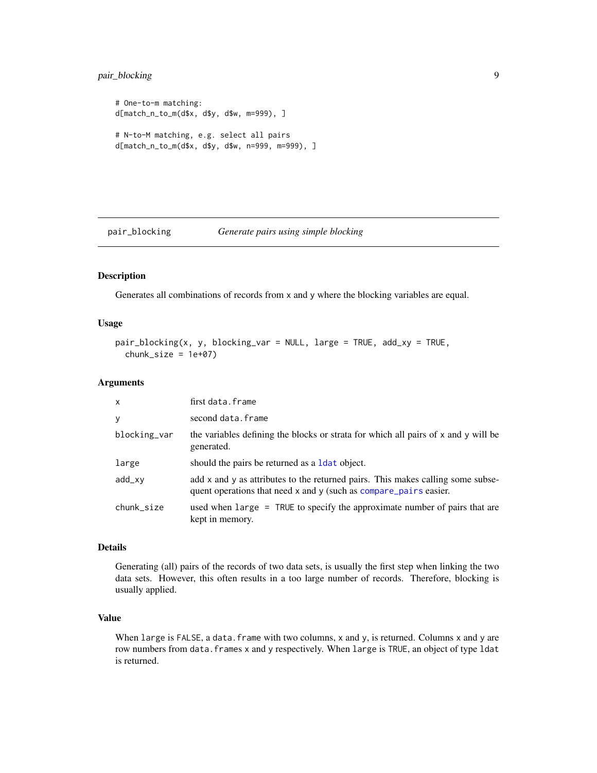#### <span id="page-8-0"></span>pair\_blocking 9

```
# One-to-m matching:
d[match_n_to_m(d$x, d$y, d$w, m=999), ]
# N-to-M matching, e.g. select all pairs
d[match_n_to_m(d$x, d$y, d$w, n=999, m=999), ]
```
<span id="page-8-1"></span>pair\_blocking *Generate pairs using simple blocking*

#### Description

Generates all combinations of records from x and y where the blocking variables are equal.

#### Usage

```
pair_blocking(x, y, blocking_var = NULL, large = TRUE, add_xy = TRUE,
  chunk_size = 1e+07)
```
#### Arguments

| X            | first data.frame                                                                                                                                     |
|--------------|------------------------------------------------------------------------------------------------------------------------------------------------------|
| у            | second data.frame                                                                                                                                    |
| blocking_var | the variables defining the blocks or strata for which all pairs of x and y will be<br>generated.                                                     |
| large        | should the pairs be returned as a 1 dat object.                                                                                                      |
| add_xy       | add x and y as attributes to the returned pairs. This makes calling some subse-<br>quent operations that need x and y (such as compare_pairs easier. |
| chunk_size   | used when large = TRUE to specify the approximate number of pairs that are<br>kept in memory.                                                        |

#### Details

Generating (all) pairs of the records of two data sets, is usually the first step when linking the two data sets. However, this often results in a too large number of records. Therefore, blocking is usually applied.

#### Value

When large is FALSE, a data. frame with two columns,  $x$  and  $y$ , is returned. Columns  $x$  and  $y$  are row numbers from data.frames x and y respectively. When large is TRUE, an object of type ldat is returned.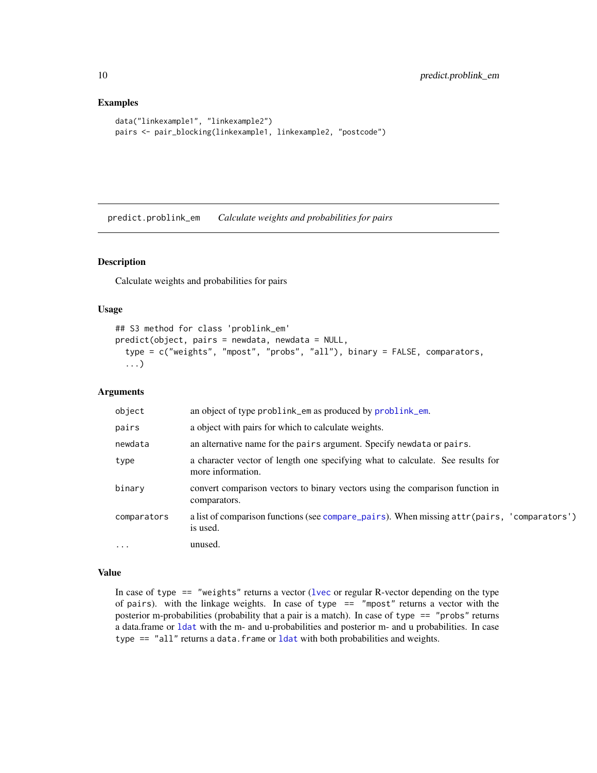#### Examples

```
data("linkexample1", "linkexample2")
pairs <- pair_blocking(linkexample1, linkexample2, "postcode")
```
<span id="page-9-1"></span>predict.problink\_em *Calculate weights and probabilities for pairs*

#### Description

Calculate weights and probabilities for pairs

#### Usage

```
## S3 method for class 'problink_em'
predict(object, pairs = newdata, newdata = NULL,
  type = c("weights", "mpost", "probs", "all"), binary = FALSE, comparators,
  ...)
```
#### Arguments

| object      | an object of type problink_em as produced by problink_em.                                               |
|-------------|---------------------------------------------------------------------------------------------------------|
| pairs       | a object with pairs for which to calculate weights.                                                     |
| newdata     | an alternative name for the pairs argument. Specify newdata or pairs.                                   |
| type        | a character vector of length one specifying what to calculate. See results for<br>more information.     |
| binary      | convert comparison vectors to binary vectors using the comparison function in<br>comparators.           |
| comparators | a list of comparison functions (see compare_pairs). When missing attr(pairs, 'comparators')<br>is used. |
| $\cdot$     | unused.                                                                                                 |

#### Value

In case of type  $==$  "weights" returns a vector (1 vec or regular R-vector depending on the type of pairs). with the linkage weights. In case of type  $==$  "mpost" returns a vector with the posterior m-probabilities (probability that a pair is a match). In case of type == "probs" returns a data.frame or [ldat](#page-0-0) with the m- and u-probabilities and posterior m- and u probabilities. In case type == "all" returns a data.frame or [ldat](#page-0-0) with both probabilities and weights.

<span id="page-9-0"></span>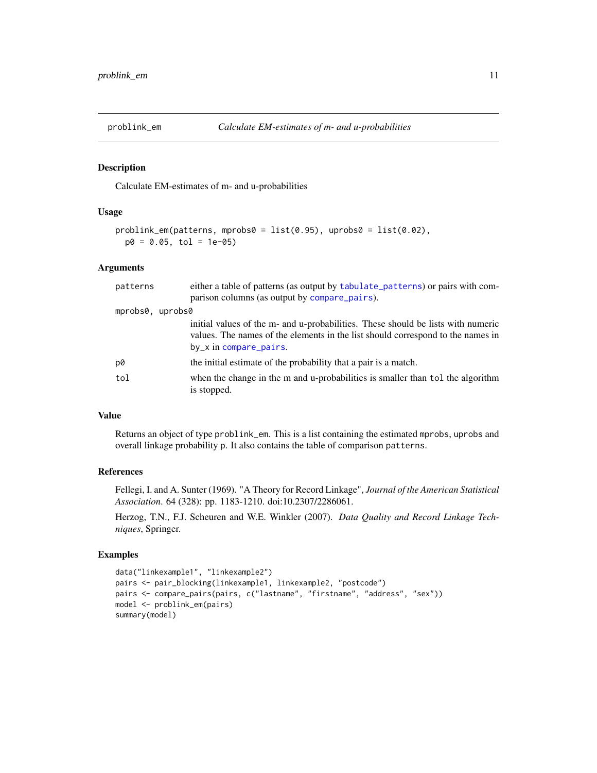<span id="page-10-1"></span><span id="page-10-0"></span>

Calculate EM-estimates of m- and u-probabilities

#### Usage

```
problink_em(patterns, mprobs0 = list(0.95), uprobs0 = list(0.02),
 p0 = 0.05, tol = 1e-05)
```
#### Arguments

| patterns         | either a table of patterns (as output by tabulate_patterns) or pairs with com-<br>parison columns (as output by compare_pairs).                                                               |
|------------------|-----------------------------------------------------------------------------------------------------------------------------------------------------------------------------------------------|
| mprobs0, uprobs0 |                                                                                                                                                                                               |
|                  | initial values of the m- and u-probabilities. These should be lists with numeric<br>values. The names of the elements in the list should correspond to the names in<br>by_x in compare_pairs. |
| p0               | the initial estimate of the probability that a pair is a match.                                                                                                                               |
| tol              | when the change in the m and u-probabilities is smaller than tol the algorithm<br>is stopped.                                                                                                 |

#### Value

Returns an object of type problink\_em. This is a list containing the estimated mprobs, uprobs and overall linkage probability p. It also contains the table of comparison patterns.

#### References

Fellegi, I. and A. Sunter (1969). "A Theory for Record Linkage", *Journal of the American Statistical Association*. 64 (328): pp. 1183-1210. doi:10.2307/2286061.

Herzog, T.N., F.J. Scheuren and W.E. Winkler (2007). *Data Quality and Record Linkage Techniques*, Springer.

```
data("linkexample1", "linkexample2")
pairs <- pair_blocking(linkexample1, linkexample2, "postcode")
pairs <- compare_pairs(pairs, c("lastname", "firstname", "address", "sex"))
model <- problink_em(pairs)
summary(model)
```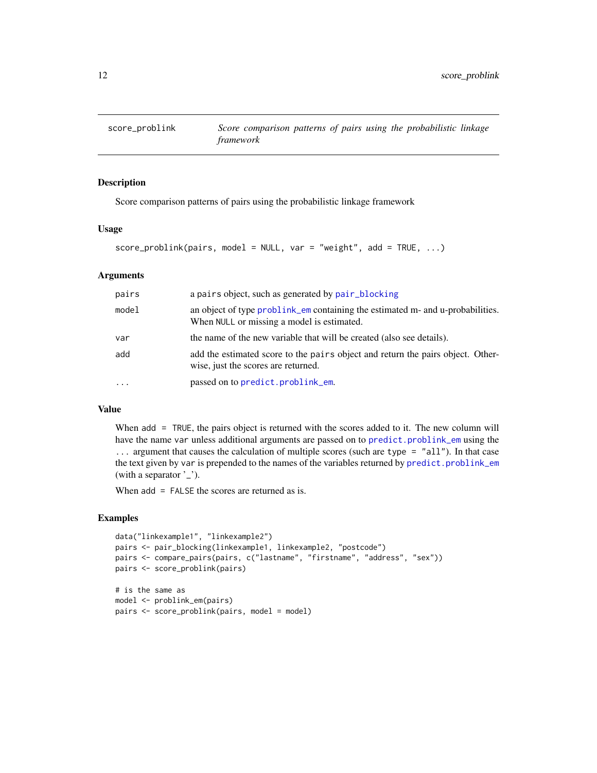<span id="page-11-1"></span><span id="page-11-0"></span>

Score comparison patterns of pairs using the probabilistic linkage framework

#### Usage

```
score\_probability(pairs, model = NULL, var = "weight", add = TRUE, ...)
```
#### Arguments

| pairs | a pairs object, such as generated by pair_blocking                                                                           |
|-------|------------------------------------------------------------------------------------------------------------------------------|
| model | an object of type problink_em containing the estimated m- and u-probabilities.<br>When NULL or missing a model is estimated. |
| var   | the name of the new variable that will be created (also see details).                                                        |
| add   | add the estimated score to the pairs object and return the pairs object. Other-<br>wise, just the scores are returned.       |
| .     | passed on to predict.problink_em.                                                                                            |

#### Value

When add = TRUE, the pairs object is returned with the scores added to it. The new column will have the name var unless additional arguments are passed on to [predict.problink\\_em](#page-9-1) using the ... argument that causes the calculation of multiple scores (such are type = "all"). In that case the text given by var is prepended to the names of the variables returned by [predict.problink\\_em](#page-9-1) (with a separator '\_').

When add = FALSE the scores are returned as is.

```
data("linkexample1", "linkexample2")
pairs <- pair_blocking(linkexample1, linkexample2, "postcode")
pairs <- compare_pairs(pairs, c("lastname", "firstname", "address", "sex"))
pairs <- score_problink(pairs)
# is the same as
```

```
model <- problink_em(pairs)
pairs <- score_problink(pairs, model = model)
```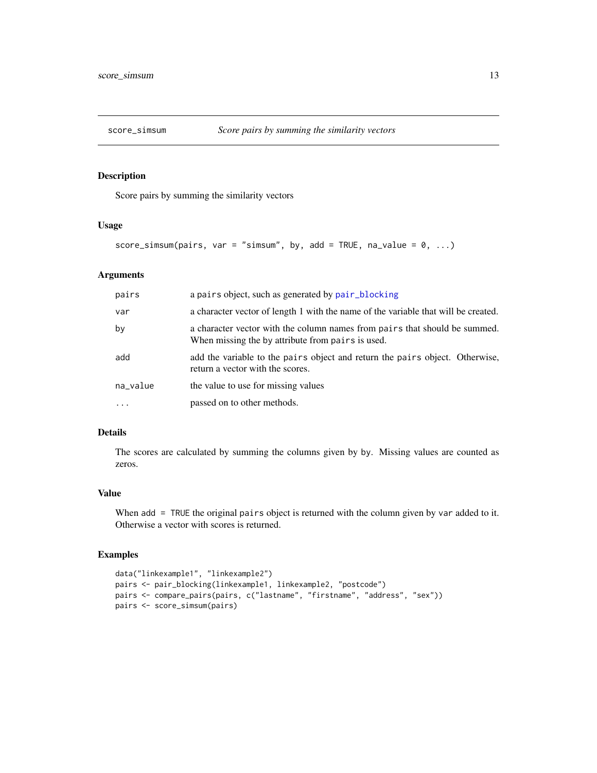<span id="page-12-0"></span>

Score pairs by summing the similarity vectors

#### Usage

```
score_simsum(pairs, var = "simsum", by, add = TRUE, na_value = 0, ...)
```
#### Arguments

| pairs    | a pairs object, such as generated by pair_blocking                                                                              |
|----------|---------------------------------------------------------------------------------------------------------------------------------|
| var      | a character vector of length 1 with the name of the variable that will be created.                                              |
| by       | a character vector with the column names from pairs that should be summed.<br>When missing the by attribute from pairs is used. |
| add      | add the variable to the pairs object and return the pairs object. Otherwise,<br>return a vector with the scores.                |
| na_value | the value to use for missing values                                                                                             |
| $\cdots$ | passed on to other methods.                                                                                                     |

#### Details

The scores are calculated by summing the columns given by by. Missing values are counted as zeros.

#### Value

When add = TRUE the original pairs object is returned with the column given by var added to it. Otherwise a vector with scores is returned.

```
data("linkexample1", "linkexample2")
pairs <- pair_blocking(linkexample1, linkexample2, "postcode")
pairs <- compare_pairs(pairs, c("lastname", "firstname", "address", "sex"))
pairs <- score_simsum(pairs)
```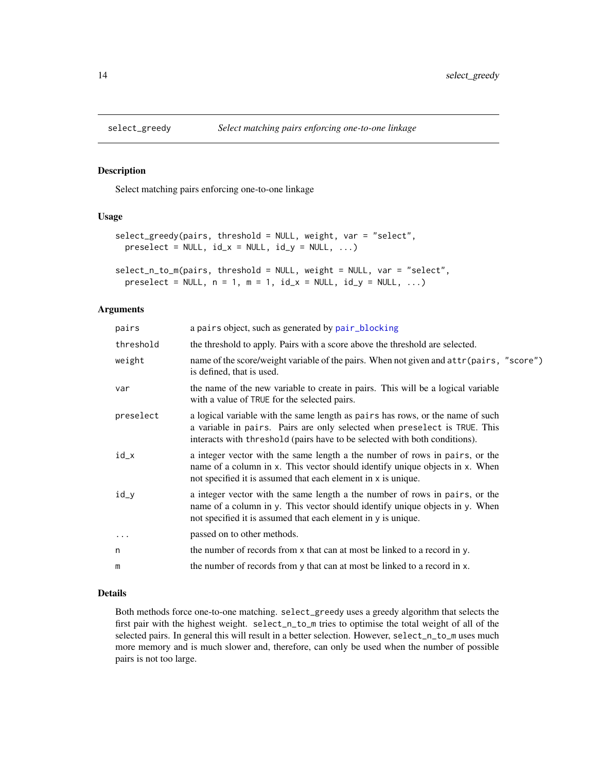<span id="page-13-0"></span>

Select matching pairs enforcing one-to-one linkage

#### Usage

```
select_greedy(pairs, threshold = NULL, weight, var = "select",
 preselect = NULL, id_x = NULL, id_y = NULL, ...
```
select\_n\_to\_m(pairs, threshold = NULL, weight = NULL, var = "select", preselect = NULL,  $n = 1$ ,  $m = 1$ ,  $id_x = NULL$ ,  $id_y = NULL$ , ...)

#### Arguments

| pairs     | a pairs object, such as generated by pair_blocking                                                                                                                                                                                        |
|-----------|-------------------------------------------------------------------------------------------------------------------------------------------------------------------------------------------------------------------------------------------|
| threshold | the threshold to apply. Pairs with a score above the threshold are selected.                                                                                                                                                              |
| weight    | name of the score/weight variable of the pairs. When not given and $attr(pairs, "score")$<br>is defined, that is used.                                                                                                                    |
| var       | the name of the new variable to create in pairs. This will be a logical variable<br>with a value of TRUE for the selected pairs.                                                                                                          |
| preselect | a logical variable with the same length as pairs has rows, or the name of such<br>a variable in pairs. Pairs are only selected when preselect is TRUE. This<br>interacts with threshold (pairs have to be selected with both conditions). |
| id_x      | a integer vector with the same length a the number of rows in pairs, or the<br>name of a column in x. This vector should identify unique objects in x. When<br>not specified it is assumed that each element in x is unique.              |
| id_y      | a integer vector with the same length a the number of rows in pairs, or the<br>name of a column in y. This vector should identify unique objects in y. When<br>not specified it is assumed that each element in y is unique.              |
| $\cdot$   | passed on to other methods.                                                                                                                                                                                                               |
| n         | the number of records from x that can at most be linked to a record in y.                                                                                                                                                                 |
| m         | the number of records from y that can at most be linked to a record in x.                                                                                                                                                                 |

#### Details

Both methods force one-to-one matching. select\_greedy uses a greedy algorithm that selects the first pair with the highest weight. select\_n\_to\_m tries to optimise the total weight of all of the selected pairs. In general this will result in a better selection. However, select\_n\_to\_m uses much more memory and is much slower and, therefore, can only be used when the number of possible pairs is not too large.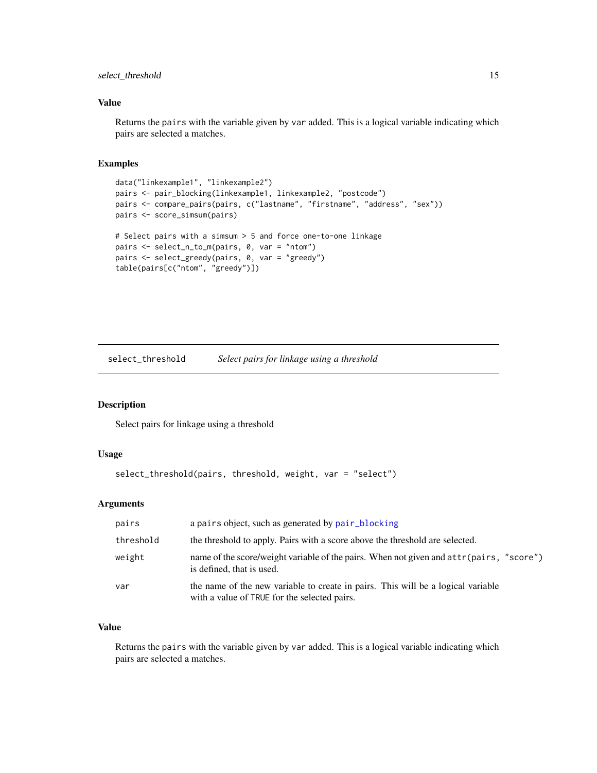#### <span id="page-14-0"></span>select\_threshold 15

#### Value

Returns the pairs with the variable given by var added. This is a logical variable indicating which pairs are selected a matches.

#### Examples

```
data("linkexample1", "linkexample2")
pairs <- pair_blocking(linkexample1, linkexample2, "postcode")
pairs <- compare_pairs(pairs, c("lastname", "firstname", "address", "sex"))
pairs <- score_simsum(pairs)
# Select pairs with a simsum > 5 and force one-to-one linkage
pairs <- select_n_to_m(pairs, 0, var = "ntom")
pairs <- select_greedy(pairs, 0, var = "greedy")
table(pairs[c("ntom", "greedy")])
```
select\_threshold *Select pairs for linkage using a threshold*

#### Description

Select pairs for linkage using a threshold

#### Usage

```
select_threshold(pairs, threshold, weight, var = "select")
```
#### Arguments

| pairs     | a pairs object, such as generated by pair_blocking                                                                               |
|-----------|----------------------------------------------------------------------------------------------------------------------------------|
| threshold | the threshold to apply. Pairs with a score above the threshold are selected.                                                     |
| weight    | name of the score/weight variable of the pairs. When not given and $attr(pairs, "score")$<br>is defined, that is used.           |
| var       | the name of the new variable to create in pairs. This will be a logical variable<br>with a value of TRUE for the selected pairs. |

#### Value

Returns the pairs with the variable given by var added. This is a logical variable indicating which pairs are selected a matches.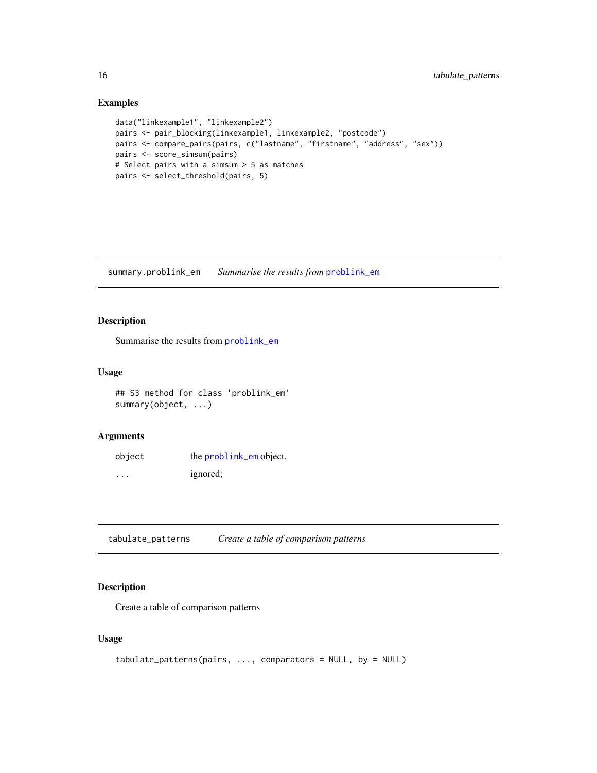#### Examples

```
data("linkexample1", "linkexample2")
pairs <- pair_blocking(linkexample1, linkexample2, "postcode")
pairs <- compare_pairs(pairs, c("lastname", "firstname", "address", "sex"))
pairs <- score_simsum(pairs)
# Select pairs with a simsum > 5 as matches
pairs <- select_threshold(pairs, 5)
```
summary.problink\_em *Summarise the results from* [problink\\_em](#page-10-1)

#### Description

Summarise the results from [problink\\_em](#page-10-1)

#### Usage

```
## S3 method for class 'problink_em'
summary(object, ...)
```
#### Arguments

| object | the problink_em object. |
|--------|-------------------------|
| .      | ignored;                |

<span id="page-15-1"></span>tabulate\_patterns *Create a table of comparison patterns*

#### Description

Create a table of comparison patterns

#### Usage

```
tabulate_patterns(pairs, ..., comparators = NULL, by = NULL)
```
<span id="page-15-0"></span>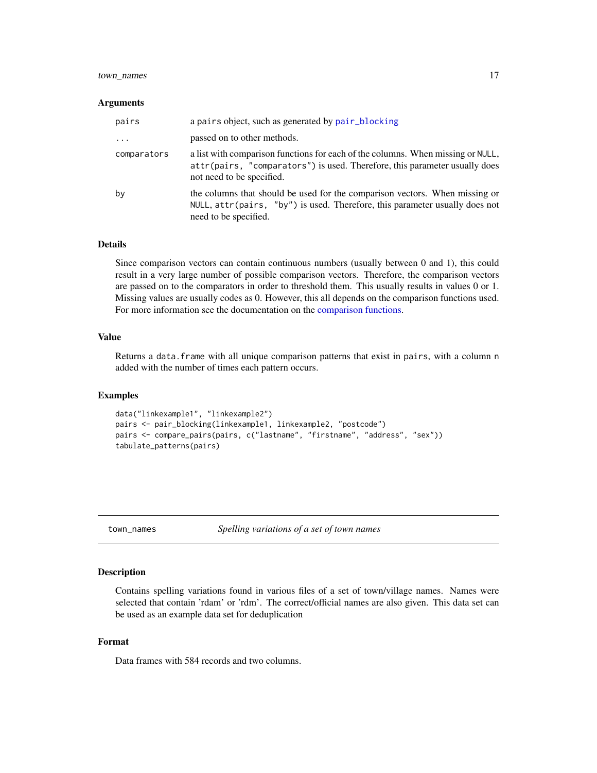#### <span id="page-16-0"></span>town\_names 17

#### **Arguments**

| pairs       | a pairs object, such as generated by pair_blocking                                                                                                                                         |
|-------------|--------------------------------------------------------------------------------------------------------------------------------------------------------------------------------------------|
| $\ddots$    | passed on to other methods.                                                                                                                                                                |
| comparators | a list with comparison functions for each of the columns. When missing or NULL,<br>attr(pairs, "comparators") is used. Therefore, this parameter usually does<br>not need to be specified. |
| by          | the columns that should be used for the comparison vectors. When missing or<br>NULL, attr(pairs, "by") is used. Therefore, this parameter usually does not<br>need to be specified.        |

#### Details

Since comparison vectors can contain continuous numbers (usually between 0 and 1), this could result in a very large number of possible comparison vectors. Therefore, the comparison vectors are passed on to the comparators in order to threshold them. This usually results in values 0 or 1. Missing values are usually codes as 0. However, this all depends on the comparison functions used. For more information see the documentation on the [comparison functions.](#page-4-1)

#### Value

Returns a data.frame with all unique comparison patterns that exist in pairs, with a column n added with the number of times each pattern occurs.

#### Examples

```
data("linkexample1", "linkexample2")
pairs <- pair_blocking(linkexample1, linkexample2, "postcode")
pairs <- compare_pairs(pairs, c("lastname", "firstname", "address", "sex"))
tabulate_patterns(pairs)
```
town\_names *Spelling variations of a set of town names*

#### Description

Contains spelling variations found in various files of a set of town/village names. Names were selected that contain 'rdam' or 'rdm'. The correct/official names are also given. This data set can be used as an example data set for deduplication

#### Format

Data frames with 584 records and two columns.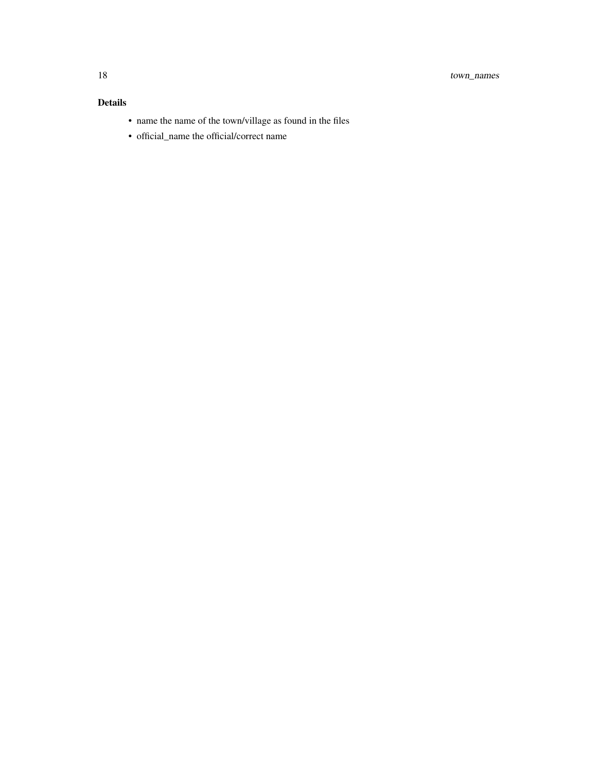#### Details

- name the name of the town/village as found in the files
- official\_name the official/correct name